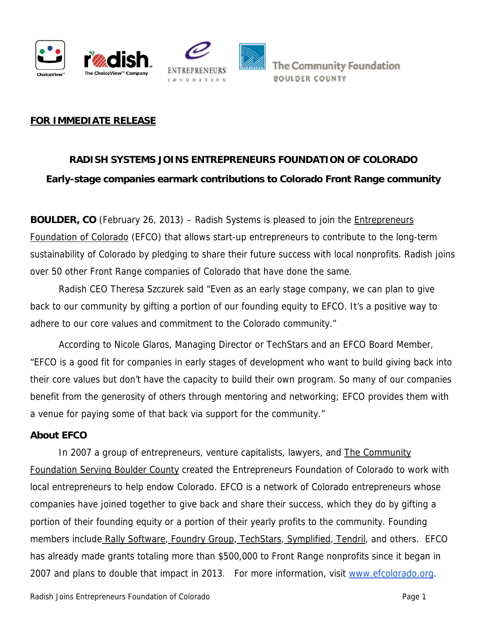



## **FOR IMMEDIATE RELEASE**

## **RADISH SYSTEMS JOINS ENTREPRENEURS FOUNDATION OF COLORADO Early-stage companies earmark contributions to Colorado Front Range community**

**BOULDER, CO** (February 26, 2013) – Radish Systems is pleased to join the *Entrepreneurs* [Foundation of Colorado](http://efcolorado.org/wp/) (EFCO) that allows start-up entrepreneurs to contribute to the long-term sustainability of Colorado by pledging to share their future success with local nonprofits. Radish joins over 50 other Front Range companies of Colorado that have done the same.

Radish CEO Theresa Szczurek said "Even as an early stage company, we can plan to give back to our community by gifting a portion of our founding equity to EFCO. It's a positive way to adhere to our core values and commitment to the Colorado community."

 According to Nicole Glaros, Managing Director or TechStars and an EFCO Board Member, "EFCO is a good fit for companies in early stages of development who want to build giving back into their core values but don't have the capacity to build their own program. So many of our companies benefit from the generosity of others through mentoring and networking; EFCO provides them with a venue for paying some of that back via support for the community."

## **About EFCO**

In 2007 a group of entrepreneurs, venture capitalists, lawyers, and **The Community** [Foundation Serving Boulder County](http://www.commfound.org/) created the Entrepreneurs Foundation of Colorado to work with local entrepreneurs to help endow Colorado. EFCO is a network of Colorado entrepreneurs whose companies have joined together to give back and share their success, which they do by gifting a portion of their founding equity or a portion of their yearly profits to the community. Founding members includ[e Rally Software](http://www.rallydev.com/)[, Foundry Group](http://www.foundrygroup.com/), [TechStars](http://www.techstars.com/)[, Symplified,](http://www.symplified.com/) [Tendril,](http://www.tendrilinc.com/) and others. EFCO has already made grants totaling more than \$500,000 to Front Range nonprofits since it began in 2007 and plans to double that impact in 2013. For more information, visit [www.efcolorado.org](http://www.efcolorado.org/).